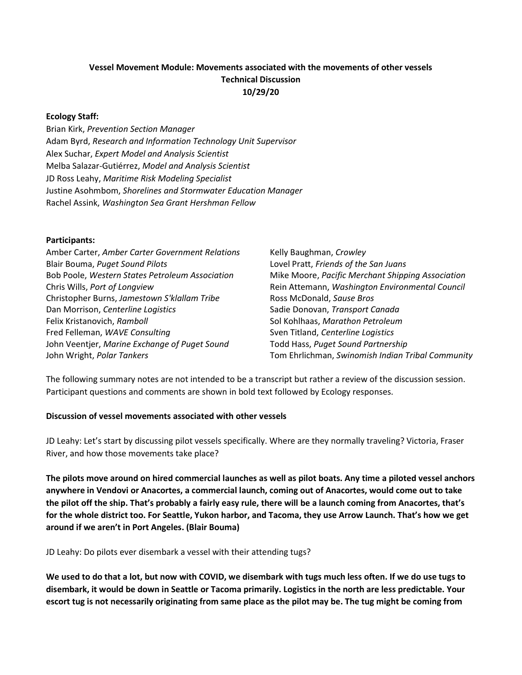# Vessel Movement Module: Movements associated with the movements of other vessels Technical Discussion 10/29/20

### Ecology Staff:

Brian Kirk, Prevention Section Manager Adam Byrd, Research and Information Technology Unit Supervisor Alex Suchar, Expert Model and Analysis Scientist Melba Salazar-Gutiérrez, Model and Analysis Scientist JD Ross Leahy, Maritime Risk Modeling Specialist Justine Asohmbom, Shorelines and Stormwater Education Manager Rachel Assink, Washington Sea Grant Hershman Fellow

#### Participants:

| Amber Carter, Amber Carter Government Relations | Kelly Baughman, Crowley                           |
|-------------------------------------------------|---------------------------------------------------|
| Blair Bouma, Puget Sound Pilots                 | Lovel Pratt, Friends of the San Juans             |
| Bob Poole, Western States Petroleum Association | Mike Moore, Pacific Merchant Shipping Association |
| Chris Wills, Port of Longview                   | Rein Attemann, Washington Environmental Council   |
| Christopher Burns, Jamestown S'klallam Tribe    | Ross McDonald, Sause Bros                         |
| Dan Morrison, Centerline Logistics              | Sadie Donovan, Transport Canada                   |
| Felix Kristanovich, Ramboll                     | Sol Kohlhaas, Marathon Petroleum                  |
| Fred Felleman, WAVE Consulting                  | Sven Titland, Centerline Logistics                |
| John Veentjer, Marine Exchange of Puget Sound   | Todd Hass, Puget Sound Partnership                |
| John Wright, Polar Tankers                      | Tom Ehrlichman, Swinomish Indian Tribal Community |

The following summary notes are not intended to be a transcript but rather a review of the discussion session. Participant questions and comments are shown in bold text followed by Ecology responses.

#### Discussion of vessel movements associated with other vessels

JD Leahy: Let's start by discussing pilot vessels specifically. Where are they normally traveling? Victoria, Fraser River, and how those movements take place?

The pilots move around on hired commercial launches as well as pilot boats. Any time a piloted vessel anchors anywhere in Vendovi or Anacortes, a commercial launch, coming out of Anacortes, would come out to take the pilot off the ship. That's probably a fairly easy rule, there will be a launch coming from Anacortes, that's for the whole district too. For Seattle, Yukon harbor, and Tacoma, they use Arrow Launch. That's how we get around if we aren't in Port Angeles. (Blair Bouma)

JD Leahy: Do pilots ever disembark a vessel with their attending tugs?

We used to do that a lot, but now with COVID, we disembark with tugs much less often. If we do use tugs to disembark, it would be down in Seattle or Tacoma primarily. Logistics in the north are less predictable. Your escort tug is not necessarily originating from same place as the pilot may be. The tug might be coming from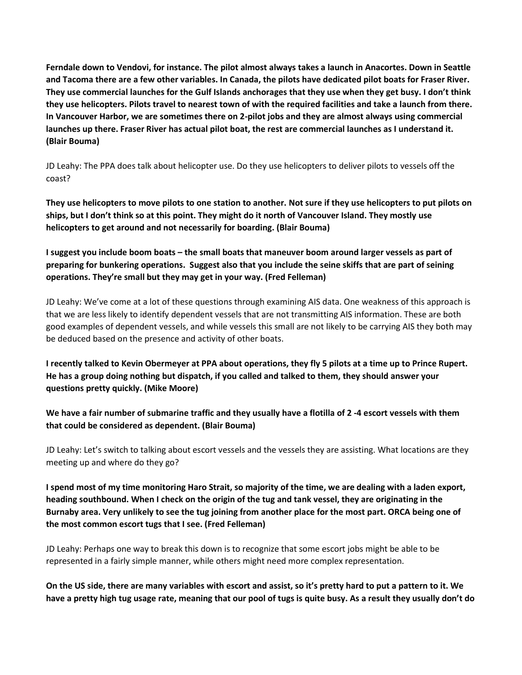Ferndale down to Vendovi, for instance. The pilot almost always takes a launch in Anacortes. Down in Seattle and Tacoma there are a few other variables. In Canada, the pilots have dedicated pilot boats for Fraser River. They use commercial launches for the Gulf Islands anchorages that they use when they get busy. I don't think they use helicopters. Pilots travel to nearest town of with the required facilities and take a launch from there. In Vancouver Harbor, we are sometimes there on 2-pilot jobs and they are almost always using commercial launches up there. Fraser River has actual pilot boat, the rest are commercial launches as I understand it. (Blair Bouma)

JD Leahy: The PPA does talk about helicopter use. Do they use helicopters to deliver pilots to vessels off the coast?

They use helicopters to move pilots to one station to another. Not sure if they use helicopters to put pilots on ships, but I don't think so at this point. They might do it north of Vancouver Island. They mostly use helicopters to get around and not necessarily for boarding. (Blair Bouma)

I suggest you include boom boats – the small boats that maneuver boom around larger vessels as part of preparing for bunkering operations. Suggest also that you include the seine skiffs that are part of seining operations. They're small but they may get in your way. (Fred Felleman)

JD Leahy: We've come at a lot of these questions through examining AIS data. One weakness of this approach is that we are less likely to identify dependent vessels that are not transmitting AIS information. These are both good examples of dependent vessels, and while vessels this small are not likely to be carrying AIS they both may be deduced based on the presence and activity of other boats.

I recently talked to Kevin Obermeyer at PPA about operations, they fly 5 pilots at a time up to Prince Rupert. He has a group doing nothing but dispatch, if you called and talked to them, they should answer your questions pretty quickly. (Mike Moore)

We have a fair number of submarine traffic and they usually have a flotilla of 2 -4 escort vessels with them that could be considered as dependent. (Blair Bouma)

JD Leahy: Let's switch to talking about escort vessels and the vessels they are assisting. What locations are they meeting up and where do they go?

I spend most of my time monitoring Haro Strait, so majority of the time, we are dealing with a laden export, heading southbound. When I check on the origin of the tug and tank vessel, they are originating in the Burnaby area. Very unlikely to see the tug joining from another place for the most part. ORCA being one of the most common escort tugs that I see. (Fred Felleman)

JD Leahy: Perhaps one way to break this down is to recognize that some escort jobs might be able to be represented in a fairly simple manner, while others might need more complex representation.

On the US side, there are many variables with escort and assist, so it's pretty hard to put a pattern to it. We have a pretty high tug usage rate, meaning that our pool of tugs is quite busy. As a result they usually don't do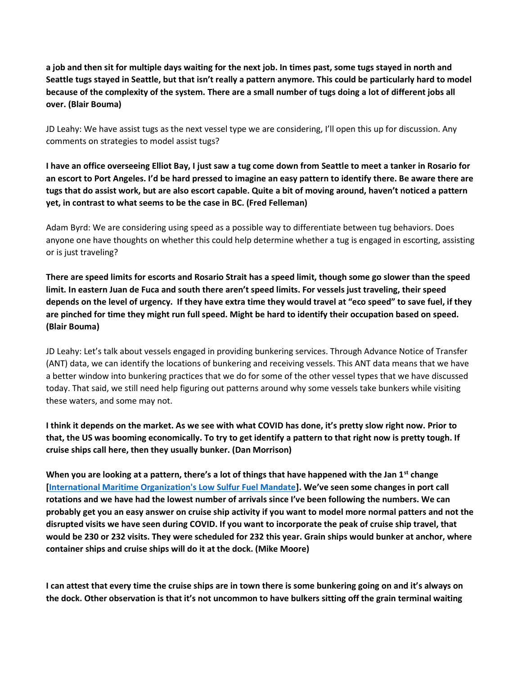a job and then sit for multiple days waiting for the next job. In times past, some tugs stayed in north and Seattle tugs stayed in Seattle, but that isn't really a pattern anymore. This could be particularly hard to model because of the complexity of the system. There are a small number of tugs doing a lot of different jobs all over. (Blair Bouma)

JD Leahy: We have assist tugs as the next vessel type we are considering, I'll open this up for discussion. Any comments on strategies to model assist tugs?

I have an office overseeing Elliot Bay, I just saw a tug come down from Seattle to meet a tanker in Rosario for an escort to Port Angeles. I'd be hard pressed to imagine an easy pattern to identify there. Be aware there are tugs that do assist work, but are also escort capable. Quite a bit of moving around, haven't noticed a pattern yet, in contrast to what seems to be the case in BC. (Fred Felleman)

Adam Byrd: We are considering using speed as a possible way to differentiate between tug behaviors. Does anyone one have thoughts on whether this could help determine whether a tug is engaged in escorting, assisting or is just traveling?

There are speed limits for escorts and Rosario Strait has a speed limit, though some go slower than the speed limit. In eastern Juan de Fuca and south there aren't speed limits. For vessels just traveling, their speed depends on the level of urgency. If they have extra time they would travel at "eco speed" to save fuel, if they are pinched for time they might run full speed. Might be hard to identify their occupation based on speed. (Blair Bouma)

JD Leahy: Let's talk about vessels engaged in providing bunkering services. Through Advance Notice of Transfer (ANT) data, we can identify the locations of bunkering and receiving vessels. This ANT data means that we have a better window into bunkering practices that we do for some of the other vessel types that we have discussed today. That said, we still need help figuring out patterns around why some vessels take bunkers while visiting these waters, and some may not.

I think it depends on the market. As we see with what COVID has done, it's pretty slow right now. Prior to that, the US was booming economically. To try to get identify a pattern to that right now is pretty tough. If cruise ships call here, then they usually bunker. (Dan Morrison)

When you are looking at a pattern, there's a lot of things that have happened with the Jan  $1^{st}$  change [International Maritime Organization's Low Sulfur Fuel Mandate]. We've seen some changes in port call rotations and we have had the lowest number of arrivals since I've been following the numbers. We can probably get you an easy answer on cruise ship activity if you want to model more normal patters and not the disrupted visits we have seen during COVID. If you want to incorporate the peak of cruise ship travel, that would be 230 or 232 visits. They were scheduled for 232 this year. Grain ships would bunker at anchor, where container ships and cruise ships will do it at the dock. (Mike Moore)

I can attest that every time the cruise ships are in town there is some bunkering going on and it's always on the dock. Other observation is that it's not uncommon to have bulkers sitting off the grain terminal waiting